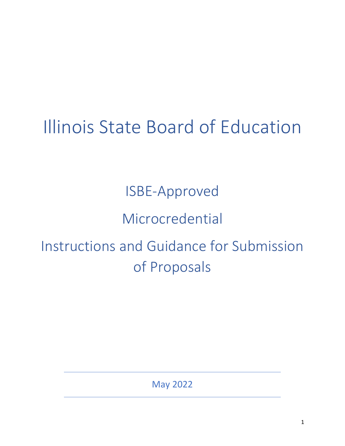# Illinois State Board of Education

ISBE-Approved

## Microcredential

## Instructions and Guidance for Submission of Proposals

May 2022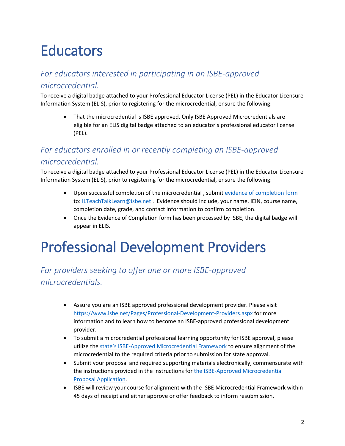## **Educators**

#### *For educators interested in participating in an ISBE-approved*

#### *microcredential.*

To receive a digital badge attached to your Professional Educator License (PEL) in the Educator Licensure Information System (ELIS), prior to registering for the microcredential, ensure the following:

• That the microcredential is ISBE approved. Only ISBE Approved Microcredentials are eligible for an ELIS digital badge attached to an educator's professional educator license (PEL).

#### *For educators enrolled in or recently completing an ISBE-approved microcredential.*

To receive a digital badge attached to your Professional Educator License (PEL) in the Educator Licensure Information System (ELIS), prior to registering for the microcredential, ensure the following:

- Upon successful completion of the microcredential , submit [evidence of completion form](https://www.isbe.net/Documents/77-21B_evidence_completion.pdf) to: [ILTeachTalkLearn@isbe.net](mailto:ILTeachTalkLearn@isbe.net) . Evidence should include, your name, IEIN, course name, completion date, grade, and contact information to confirm completion.
- Once the Evidence of Completion form has been processed by ISBE, the digital badge will appear in ELIS.

## Professional Development Providers

*For providers seeking to offer one or more ISBE-approved microcredentials.* 

- Assure you are an ISBE approved professional development provider. Please visit <https://www.isbe.net/Pages/Professional-Development-Providers.aspx> for more information and to learn how to become an ISBE-approved professional development provider.
- To submit a microcredential professional learning opportunity for ISBE approval, please utilize the [state's ISBE-Approved Microcredential Framework](https://www.isbe.net/Documents/ISBE-Microcredential-Framework.pdf) to ensure alignment of the microcredential to the required criteria prior to submission for state approval.
- Submit your proposal and required supporting materials electronically, commensurate with the instructions provided in the instructions fo[r the ISBE-Approved Microcredential](https://forms.office.com/r/00V9zQHveD)  [Proposal Application.](https://forms.office.com/r/00V9zQHveD)
- ISBE will review your course for alignment with the ISBE Microcredential Framework within 45 days of receipt and either approve or offer feedback to inform resubmission.